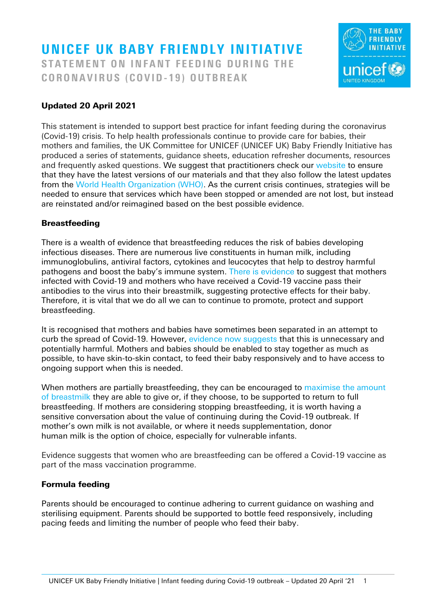# UNICEF UK BABY FRIENDLY INITIATIVE STATEMENT ON INFANT FEEDING DURING THE CORONAVIRUS (COVID-19) OUTBREAK



#### Updated 20 April 2021

This statement is intended to support best practice for infant feeding during the coronavirus (Covid-19) crisis. To help health professionals continue to provide care for babies, their mothers and families, the UK Committee for UNICEF (UNICEF UK) Baby Friendly Initiative has produced a series of statements, guidance sheets, education refresher documents, resources and frequently asked questions. We suggest that practitioners check our [website](https://www.unicef.org.uk/babyfriendly/covid-19/) to ensure that they have the latest versions of our materials and that they also follow the latest updates from the [World Health Organization \(WHO\).](https://www.who.int/publications/m/item/frequently-asked-questions-breastfeeding-and-covid-19) As the current crisis continues, strategies will be needed to ensure that services which have been stopped or amended are not lost, but instead are reinstated and/or reimagined based on the best possible evidence.

#### **Breastfeeding**

There is a wealth of evidence that breastfeeding reduces the risk of babies developing infectious diseases. There are numerous live constituents in human milk, including immunoglobulins, antiviral factors, cytokines and leucocytes that help to destroy harmful pathogens and boost the baby's immune system. [There is evidence](https://www.unicef.org.uk/babyfriendly/news-and-research/baby-friendly-research/coronavirus-research/) to suggest that mothers infected with Covid-19 and mothers who have received a Covid-19 vaccine pass their antibodies to the virus into their breastmilk, suggesting protective effects for their baby. Therefore, it is vital that we do all we can to continue to promote, protect and support breastfeeding.

It is recognised that mothers and babies have sometimes been separated in an attempt to curb the spread of Covid-19. However, [evidence now suggests](https://www.unicef.org.uk/babyfriendly/infant-feeding-policies/) that this is unnecessary and potentially harmful. Mothers and babies should be enabled to stay together as much as possible, to have skin-to-skin contact, to feed their baby responsively and to have access to ongoing support when this is needed.

When mothers are partially breastfeeding, they can be encouraged to maximise the amount [of breastmilk](https://www.unicef.org.uk/babyfriendly/wp-content/uploads/sites/2/2020/03/Unicef-UK-Baby-Friendly-Initiative-Maximising-breastmilk-and-re-lactation-guidance-3.pdf) they are able to give or, if they choose, to be supported to return to full breastfeeding. If mothers are considering stopping breastfeeding, it is worth having a sensitive conversation about the value of continuing during the Covid-19 outbreak. If mother's own milk is not available, or where it needs supplementation, donor human milk is the option of choice, especially for vulnerable infants.

Evidence suggests that women who are breastfeeding can be offered a Covid-19 vaccine as part of the mass vaccination programme.

#### Formula feeding

Parents should be encouraged to continue adhering to current guidance on washing and sterilising equipment. Parents should be supported to bottle feed responsively, including pacing feeds and limiting the number of people who feed their baby.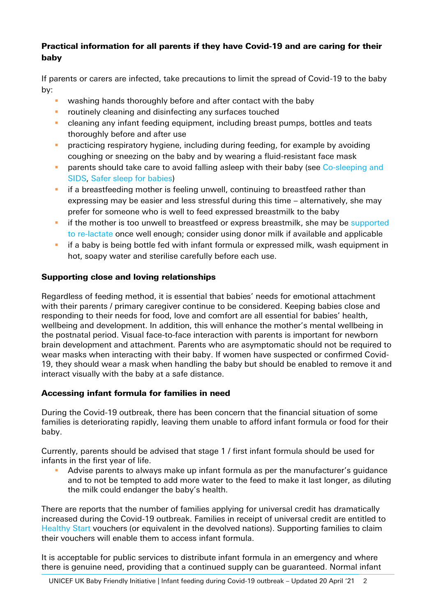## Practical information for all parents if they have Covid-19 and are caring for their baby

If parents or carers are infected, take precautions to limit the spread of Covid-19 to the baby by:

- washing hands thoroughly before and after contact with the baby
- **E** routinely cleaning and disinfecting any surfaces touched
- **E** cleaning any infant feeding equipment, including breast pumps, bottles and teats thoroughly before and after use
- **•** practicing respiratory hygiene, including during feeding, for example by avoiding coughing or sneezing on the baby and by wearing a fluid-resistant face mask
- **•** parents should take care to avoid falling asleep with their baby (see Co-sleeping and [SIDS,](https://www.unicef.org.uk/babyfriendly/baby-friendly-resources/sleep-and-night-time-resources/co-sleeping-and-sids/) [Safer sleep for babies\)](https://www.unicef.org.uk/babyfriendly/new-resources-safer-sleep-week/)
- **•** if a breastfeeding mother is feeling unwell, continuing to breastfeed rather than expressing may be easier and less stressful during this time – alternatively, she may prefer for someone who is well to feed expressed breastmilk to the baby
- **EXT** if the mother is too unwell to breastfeed or express breastmilk, she may be supported [to re-lactate](https://www.unicef.org.uk/babyfriendly/wp-content/uploads/sites/2/2020/03/Unicef-UK-Baby-Friendly-Initiative-Maximising-breastmilk-and-re-lactation-guidance-2.pdf) once well enough; consider using donor milk if available and applicable
- **E** if a baby is being bottle fed with infant formula or expressed milk, wash equipment in hot, soapy water and sterilise carefully before each use.

## Supporting close and loving relationships

Regardless of feeding method, it is essential that babies' needs for emotional attachment with their parents / primary caregiver continue to be considered. Keeping babies close and responding to their needs for food, love and comfort are all essential for babies' health, wellbeing and development. In addition, this will enhance the mother's mental wellbeing in the postnatal period. Visual face-to-face interaction with parents is important for newborn brain development and attachment. Parents who are asymptomatic should not be required to wear masks when interacting with their baby. If women have suspected or confirmed Covid-19, they should wear a mask when handling the baby but should be enabled to remove it and interact visually with the baby at a safe distance.

## Accessing infant formula for families in need

During the Covid-19 outbreak, there has been concern that the financial situation of some families is deteriorating rapidly, leaving them unable to afford infant formula or food for their baby.

Currently, parents should be advised that stage 1 / first infant formula should be used for infants in the first year of life.

**E** Advise parents to always make up infant formula as per the manufacturer's quidance and to not be tempted to add more water to the feed to make it last longer, as diluting the milk could endanger the baby's health.

There are reports that the number of families applying for universal credit has dramatically increased during the Covid-19 outbreak. Families in receipt of universal credit are entitled to [Healthy Start](https://www.healthystart.nhs.uk/) vouchers (or equivalent in the devolved nations). Supporting families to claim their vouchers will enable them to access infant formula.

It is acceptable for public services to distribute infant formula in an emergency and where there is genuine need, providing that a continued supply can be guaranteed. Normal infant